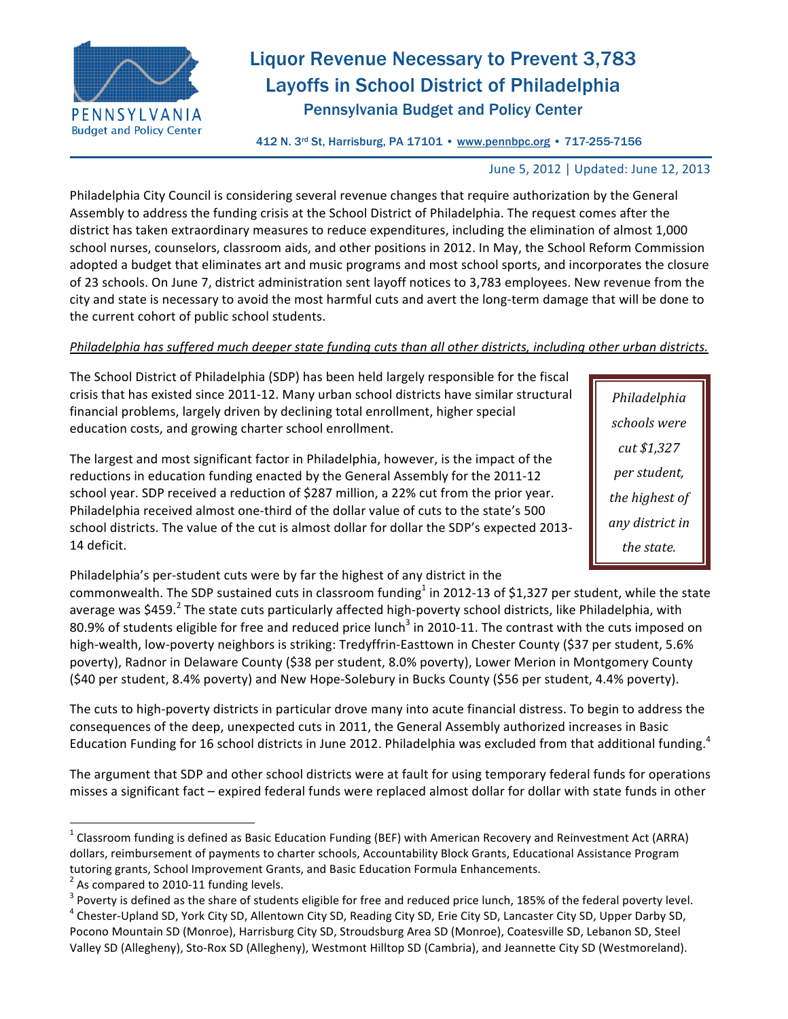

# Liquor Revenue Necessary to Prevent 3,783 Layoffs in School District of Philadelphia Pennsylvania Budget and Policy Center

Budget and Policy Center<br>412 N. 3<sup>rd</sup> St, Harrisburg, PA 17101 • www.pennbpc.org • 717-255-7156

## June 5, 2012 | Updated: June 12, 2013

Philadelphia City Council is considering several revenue changes that require authorization by the General Assembly to address the funding crisis at the School District of Philadelphia. The request comes after the district has taken extraordinary measures to reduce expenditures, including the elimination of almost 1,000 school nurses, counselors, classroom aids, and other positions in 2012. In May, the School Reform Commission adopted a budget that eliminates art and music programs and most school sports, and incorporates the closure of 23 schools. On June 7, district administration sent layoff notices to 3,783 employees. New revenue from the city and state is necessary to avoid the most harmful cuts and avert the long-term damage that will be done to the current cohort of public school students.

## *Philadelphia has suffered much deeper state funding cuts than all other districts, including other urban districts.*

The School District of Philadelphia (SDP) has been held largely responsible for the fiscal crisis that has existed since 2011-12. Many urban school districts have similar structural financial problems, largely driven by declining total enrollment, higher special education costs, and growing charter school enrollment.

The largest and most significant factor in Philadelphia, however, is the impact of the reductions in education funding enacted by the General Assembly for the 2011-12 school year. SDP received a reduction of \$287 million, a 22% cut from the prior year. Philadelphia received almost one-third of the dollar value of cuts to the state's 500 school districts. The value of the cut is almost dollar for dollar the SDP's expected 2013-14 deficit.

*Philadelphia) schools)were) cut)\$1,327) per)student,)* the highest of *any)district)in) the)state.*

Philadelphia's per-student cuts were by far the highest of any district in the

commonwealth. The SDP sustained cuts in classroom funding<sup>1</sup> in 2012-13 of \$1,327 per student, while the state average was \$459.<sup>2</sup> The state cuts particularly affected high-poverty school districts, like Philadelphia, with 80.9% of students eligible for free and reduced price lunch<sup>3</sup> in 2010-11. The contrast with the cuts imposed on high-wealth, low-poverty neighbors is striking: Tredyffrin-Easttown in Chester County (\$37 per student, 5.6% poverty), Radnor in Delaware County (\$38 per student, 8.0% poverty), Lower Merion in Montgomery County (\$40 per student, 8.4% poverty) and New Hope-Solebury in Bucks County (\$56 per student, 4.4% poverty).

The cuts to high-poverty districts in particular drove many into acute financial distress. To begin to address the consequences of the deep, unexpected cuts in 2011, the General Assembly authorized increases in Basic Education Funding for 16 school districts in June 2012. Philadelphia was excluded from that additional funding.<sup>4</sup>

The argument that SDP and other school districts were at fault for using temporary federal funds for operations misses a significant fact – expired federal funds were replaced almost dollar for dollar with state funds in other

!!!!!!!!!!!!!!!!!!!!!!!!!!!!!!!!!!!!!!!!!!!!!!!!!!!!!!!!!!!!

<sup>&</sup>lt;sup>1</sup> Classroom funding is defined as Basic Education Funding (BEF) with American Recovery and Reinvestment Act (ARRA) dollars, reimbursement of payments to charter schools, Accountability Block Grants, Educational Assistance Program tutoring grants, School Improvement Grants, and Basic Education Formula Enhancements.

 $2$  As compared to 2010-11 funding levels.

 $3$  Poverty is defined as the share of students eligible for free and reduced price lunch, 185% of the federal poverty level.

<sup>&</sup>lt;sup>4</sup> Chester-Upland SD, York City SD, Allentown City SD, Reading City SD, Erie City SD, Lancaster City SD, Upper Darby SD, Pocono Mountain SD (Monroe), Harrisburg City SD, Stroudsburg Area SD (Monroe), Coatesville SD, Lebanon SD, Steel Valley SD (Allegheny), Sto-Rox SD (Allegheny), Westmont Hilltop SD (Cambria), and Jeannette City SD (Westmoreland).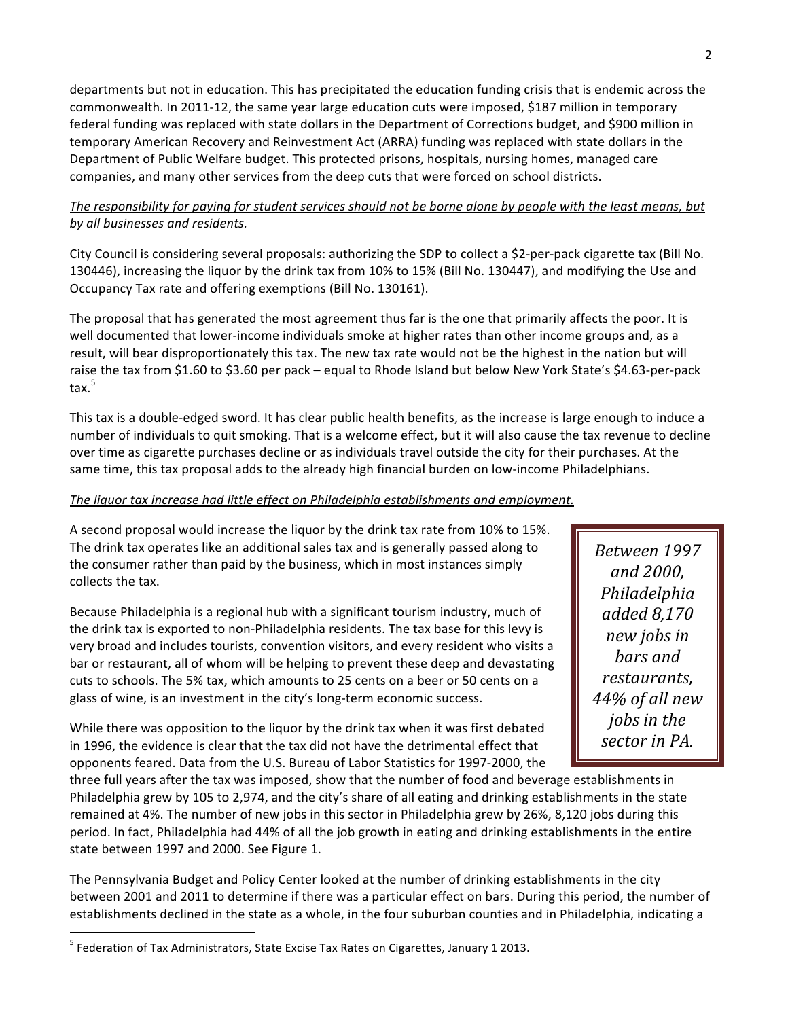departments but not in education. This has precipitated the education funding crisis that is endemic across the commonwealth. In 2011-12, the same year large education cuts were imposed, \$187 million in temporary federal funding was replaced with state dollars in the Department of Corrections budget, and \$900 million in temporary American Recovery and Reinvestment Act (ARRA) funding was replaced with state dollars in the Department of Public Welfare budget. This protected prisons, hospitals, nursing homes, managed care companies, and many other services from the deep cuts that were forced on school districts.

# The responsibility for paying for student services should not be borne alone by people with the least means, but *by)all)businesses)and)residents.*

City Council is considering several proposals: authorizing the SDP to collect a \$2-per-pack cigarette tax (Bill No. 130446), increasing the liquor by the drink tax from 10% to 15% (Bill No. 130447), and modifying the Use and Occupancy Tax rate and offering exemptions (Bill No. 130161).

The proposal that has generated the most agreement thus far is the one that primarily affects the poor. It is well documented that lower-income individuals smoke at higher rates than other income groups and, as a result, will bear disproportionately this tax. The new tax rate would not be the highest in the nation but will raise the tax from \$1.60 to \$3.60 per pack – equal to Rhode Island but below New York State's \$4.63-per-pack tax. 5

This tax is a double-edged sword. It has clear public health benefits, as the increase is large enough to induce a number of individuals to quit smoking. That is a welcome effect, but it will also cause the tax revenue to decline over time as cigarette purchases decline or as individuals travel outside the city for their purchases. At the same time, this tax proposal adds to the already high financial burden on low-income Philadelphians.

## The liquor tax increase had little effect on Philadelphia establishments and employment.

A second proposal would increase the liquor by the drink tax rate from 10% to 15%. The drink tax operates like an additional sales tax and is generally passed along to the consumer rather than paid by the business, which in most instances simply collects the tax.

Because Philadelphia is a regional hub with a significant tourism industry, much of the drink tax is exported to non-Philadelphia residents. The tax base for this levy is very broad and includes tourists, convention visitors, and every resident who visits a bar or restaurant, all of whom will be helping to prevent these deep and devastating cuts to schools. The 5% tax, which amounts to 25 cents on a beer or 50 cents on a glass of wine, is an investment in the city's long-term economic success.

While there was opposition to the liquor by the drink tax when it was first debated in 1996, the evidence is clear that the tax did not have the detrimental effect that opponents feared. Data from the U.S. Bureau of Labor Statistics for 1997-2000, the

*Between)1997) and)2000,) Philadelphia) added)8,170) new)jobs)in) bars)and) restaurants,) 44%)of)all)new) jobs in the sector)in)PA.)*

three full years after the tax was imposed, show that the number of food and beverage establishments in Philadelphia grew by 105 to 2,974, and the city's share of all eating and drinking establishments in the state remained at 4%. The number of new jobs in this sector in Philadelphia grew by 26%, 8,120 jobs during this period. In fact, Philadelphia had 44% of all the job growth in eating and drinking establishments in the entire state between 1997 and 2000. See Figure 1.

The Pennsylvania Budget and Policy Center looked at the number of drinking establishments in the city between 2001 and 2011 to determine if there was a particular effect on bars. During this period, the number of establishments declined in the state as a whole, in the four suburban counties and in Philadelphia, indicating a

!!!!!!!!!!!!!!!!!!!!!!!!!!!!!!!!!!!!!!!!!!!!!!!!!!!!!!!!!!!!

<sup>&</sup>lt;sup>5</sup> Federation of Tax Administrators, State Excise Tax Rates on Cigarettes, January 1 2013.